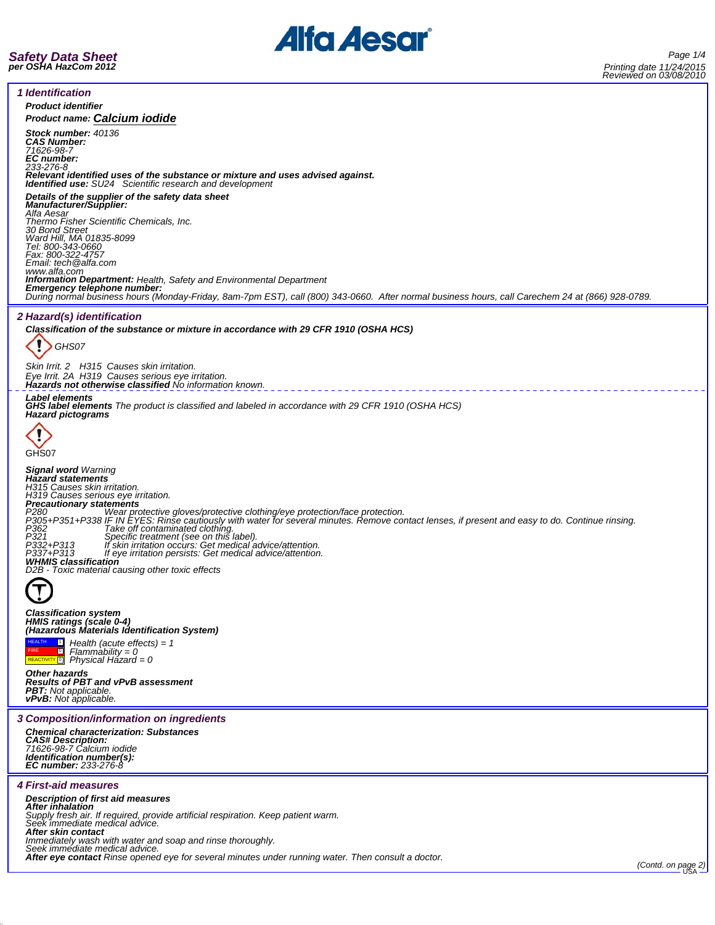



*1 Identification Product identifier Product name: Calcium iodide Stock number: 40136 CAS Number: 71626-98-7 EC number: 233-276-8 Relevant identified uses of the substance or mixture and uses advised against. Identified use: SU24 Scientific research and development Details of the supplier of the safety data sheet Manufacturer/Supplier: Alfa Aesar Thermo Fisher Scientific Chemicals, Inc. 30 Bond Street Ward Hill, MA 01835-8099 Tel: 800-343-0660 Fax: 800-322-4757 Email: tech@alfa.com* www.alfa.com<br>**Information Department:** Health, Safety and Environmental Department **Information Department:** Health, Safety and Environmental Department<br>**Emergency telephone number:**<br>During normal business hours (Monday-Friday, 8am-7pm EST), call (800) 343-0660. After normal business hours, call Carechem *2 Hazard(s) identification Classification of the substance or mixture in accordance with 29 CFR 1910 (OSHA HCS)* ï *GHS07 Skin Irrit. 2 H315 Causes skin irritation. Eye Irrit. 2A H319 Causes serious eye irritation. Hazards not otherwise classified No information known. Label elements GHS label elements The product is classified and labeled in accordance with 29 CFR 1910 (OSHA HCS) Hazard pictograms* C GHS07 *Signal word Warning Hazard statements H315 Causes skin irritation. H319 Causes serious eye irritation. Precautionary statements* P280<br>P305+P351+P338 IF IN EYES: Rinse cautiously with water for several minutes. Remove contact lenses, if present and easy to do. Continue rinsing.<br>P362+P351+P338 IF IN EYES: Rinse cautiously with water for several minute P321 Farm *Specific treatment (see on this label).*<br>P332+P313 If skin irritation occurs: Get medical advice/attention.<br>P337+P313 If eye irritation persists: Get medical advice/attention. *WHMIS classification D2B - Toxic material causing other toxic effects Classification system HMIS ratings (scale 0-4) (Hazardous Materials Identification System)*  $\overline{\mathbf{1}}$ *Health (acute effects) = 1* HEALTH 0 FIRE REACTIVITY 0 *Flammability = 0 Physical Hazard = 0 Other hazards Results of PBT and vPvB assessment PBT: Not applicable. vPvB: Not applicable. 3 Composition/information on ingredients Chemical characterization: Substances CAS# Description: 71626-98-7 Calcium iodide Identification number(s): EC number: 233-276-8 4 First-aid measures Description of first aid measures After inhalation Supply fresh air. If required, provide artificial respiration. Keep patient warm. Seek immediate medical advice. After skin contact* Immediately wash with water and soap and rinse thoroughly.<br>Seek immediate medical advice.<br>**After eye contact** Rinse opened eye for several minutes under running water. Then consult a doctor. \_\_\_\_\_\_\_\_\_\_\_\_\_\_\_\_\_\_\_\_\_\_\_\_\_\_\_\_\_\_\_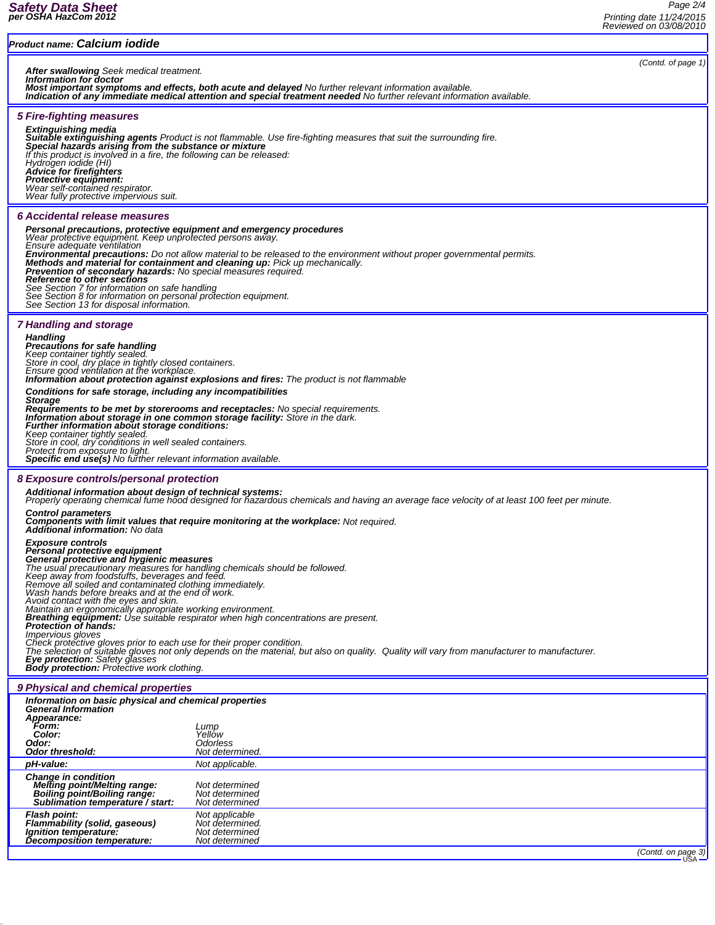| Product name: Calcium iodide                                                                                                                                                                                                                                                                                                                                                                                                                                                                                                                                                                                                                                                                                                                                                                                                                                                                                                                               |                                                                       |                    |
|------------------------------------------------------------------------------------------------------------------------------------------------------------------------------------------------------------------------------------------------------------------------------------------------------------------------------------------------------------------------------------------------------------------------------------------------------------------------------------------------------------------------------------------------------------------------------------------------------------------------------------------------------------------------------------------------------------------------------------------------------------------------------------------------------------------------------------------------------------------------------------------------------------------------------------------------------------|-----------------------------------------------------------------------|--------------------|
| (Contd. of page 1)<br><b>After swallowing</b> Seek medical treatment.<br>Information for doctor<br>Most important symptoms and effects, both acute and delayed No further relevant information available.<br>Indication of any immediate medical attention and special treatment needed No further relevant information available.                                                                                                                                                                                                                                                                                                                                                                                                                                                                                                                                                                                                                         |                                                                       |                    |
| <b>5 Fire-fighting measures</b><br><b>Extinguishing media</b><br>Suitable extinguishing agents Product is not flammable. Use fire-fighting measures that suit the surrounding fire.<br>Special hazards arising from the substance or mixture<br>If this product is involved in a fire, the following can be released:<br>Hydrogen iodide (HI)<br><b>Advice for firefighters</b><br>Protective equipment:<br>Wear self-contained respirator.<br>Wear fully protective impervious suit.                                                                                                                                                                                                                                                                                                                                                                                                                                                                      |                                                                       |                    |
| 6 Accidental release measures<br>Personal precautions, protective equipment and emergency procedures<br>Wear protective equipment. Keep unprotected persons away.<br>Ensure adequate ventilation<br>Environmental precautions: Do not allow material to be released to the environment without proper governmental permits.<br>Methods and material for containment and cleaning up: Pick up mechanically.<br><b>Prevention of secondary hazards:</b> No special measures required.<br>Reference to other sections<br>See Section 7 for information on safe handling<br>See Section 8 for information on personal protection equipment.<br>See Section 13 for disposal information.                                                                                                                                                                                                                                                                        |                                                                       |                    |
| <b>7 Handling and storage</b><br><b>Handling</b><br><b>Precautions for safe handling</b><br>Keep container tightly sealed.<br>Store in cool, dry place in tightly closed containers.<br>Ensure good ventilation at the workplace.<br><b>Information about protection against explosions and fires:</b> The product is not flammable<br>Conditions for safe storage, including any incompatibilities<br><b>Storage</b><br>Requirements to be met by storerooms and receptacles: No special requirements.<br>Information about storage in one common storage facility: Store in the dark.<br>Further information about storage conditions:<br>Keep container tightly sealed.<br>Store in cool, dry conditions in well sealed containers.<br>Protect from exposure to light.<br>Specific end use(s) No further relevant information available.                                                                                                                |                                                                       |                    |
| 8 Exposure controls/personal protection<br>Additional information about design of technical systems:                                                                                                                                                                                                                                                                                                                                                                                                                                                                                                                                                                                                                                                                                                                                                                                                                                                       |                                                                       |                    |
| Properly operating chemical fume hood designed for hazardous chemicals and having an average face velocity of at least 100 feet per minute.<br><b>Control parameters</b><br><b>Components with limit values that require monitoring at the workplace:</b> Not required.                                                                                                                                                                                                                                                                                                                                                                                                                                                                                                                                                                                                                                                                                    |                                                                       |                    |
| <b>Additional information:</b> No data<br><b>Exposure controls</b><br>Personal protective equipment<br>General protective and hygienic measures<br>The usual precautionary measures for handling chemicals should be followed.<br>Keep away from foodstuffs, beverages and feed.<br>Remove all soiled and contaminated clothing immediately.<br>Wash hands before breaks and at the end of work.<br>Avoid contact with the eyes and skin.<br>Maintain an ergonomically appropriate working environment.<br><b>Breathing equipment:</b> Use suitable respirator when high concentrations are present.<br>Protection of hands:<br>Impervious gloves<br>Check protective gloves prior to each use for their proper condition.<br>The selection of suitable gloves not only depends on the material, but also on quality. Quality will vary from manufacturer to manufacturer.<br>Eye protection: Safety glasses<br>Body protection: Protective work clothing. |                                                                       |                    |
| 9 Physical and chemical properties                                                                                                                                                                                                                                                                                                                                                                                                                                                                                                                                                                                                                                                                                                                                                                                                                                                                                                                         |                                                                       |                    |
| Information on basic physical and chemical properties<br><b>General Information</b><br>Appearance:<br>Form:<br>Color:<br>Odor:<br><b>Odor threshold:</b>                                                                                                                                                                                                                                                                                                                                                                                                                                                                                                                                                                                                                                                                                                                                                                                                   | Lump<br>Yellow<br>Odorless<br>Not determined.                         |                    |
| pH-value:                                                                                                                                                                                                                                                                                                                                                                                                                                                                                                                                                                                                                                                                                                                                                                                                                                                                                                                                                  | Not applicable.                                                       |                    |
| <b>Change in condition</b><br><b>Melting point/Melting range:</b><br>Boiling point/Boiling range:<br>Sublimation temperature / start:                                                                                                                                                                                                                                                                                                                                                                                                                                                                                                                                                                                                                                                                                                                                                                                                                      | Not determined<br>Not determined<br>Not determined                    |                    |
| <b>Flash point:</b><br>Flammability (solid, gaseous)<br>Ignition temperature:<br>Decomposition temperature:                                                                                                                                                                                                                                                                                                                                                                                                                                                                                                                                                                                                                                                                                                                                                                                                                                                | Not applicable<br>Not determined.<br>Not determined<br>Not determined | (Contd. on page 3) |
|                                                                                                                                                                                                                                                                                                                                                                                                                                                                                                                                                                                                                                                                                                                                                                                                                                                                                                                                                            |                                                                       | <b>USA</b>         |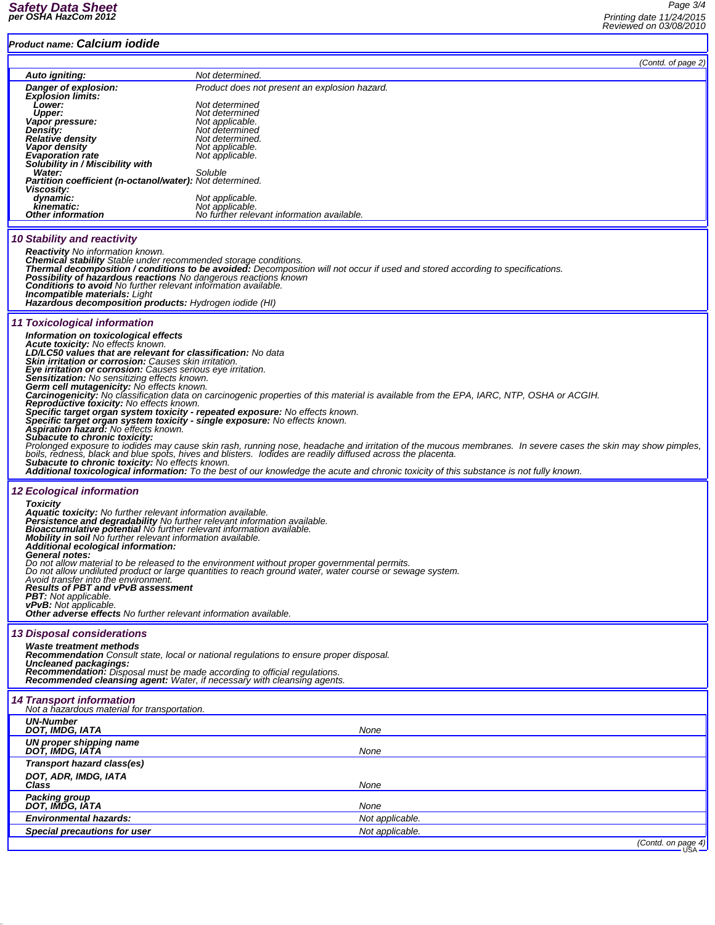## *Product name: Calcium iodide*

| Product name: Galcium Toulde                                                                                                                                                                                                                                                                                                                                                                                                                                                                                                     |                                                                                                                                                                                                          |  |  |
|----------------------------------------------------------------------------------------------------------------------------------------------------------------------------------------------------------------------------------------------------------------------------------------------------------------------------------------------------------------------------------------------------------------------------------------------------------------------------------------------------------------------------------|----------------------------------------------------------------------------------------------------------------------------------------------------------------------------------------------------------|--|--|
|                                                                                                                                                                                                                                                                                                                                                                                                                                                                                                                                  | (Contd. of page 2)                                                                                                                                                                                       |  |  |
| Auto igniting:<br>Danger of explosion:                                                                                                                                                                                                                                                                                                                                                                                                                                                                                           | Not determined.<br>Product does not present an explosion hazard.                                                                                                                                         |  |  |
| <b>Explosion limits:</b><br>Lower:                                                                                                                                                                                                                                                                                                                                                                                                                                                                                               | Not determined                                                                                                                                                                                           |  |  |
| <b>Upper:</b>                                                                                                                                                                                                                                                                                                                                                                                                                                                                                                                    | Not determined                                                                                                                                                                                           |  |  |
| Vapor pressure:<br>Density:                                                                                                                                                                                                                                                                                                                                                                                                                                                                                                      | Not applicable.<br>Not determined                                                                                                                                                                        |  |  |
| <b>Relative density</b><br>Vapor density                                                                                                                                                                                                                                                                                                                                                                                                                                                                                         | Not determined.<br>Not applicable.                                                                                                                                                                       |  |  |
| <b>Evaporation rate</b><br>Solubility in / Miscibility with                                                                                                                                                                                                                                                                                                                                                                                                                                                                      | Not applicable.                                                                                                                                                                                          |  |  |
| <b>Water:</b>                                                                                                                                                                                                                                                                                                                                                                                                                                                                                                                    | Soluble                                                                                                                                                                                                  |  |  |
| Partition coefficient (n-octanol/water): Not determined.<br>Viscosity:                                                                                                                                                                                                                                                                                                                                                                                                                                                           |                                                                                                                                                                                                          |  |  |
| dynamic:<br>kinematic:                                                                                                                                                                                                                                                                                                                                                                                                                                                                                                           | Not applicable.<br>Not applicable.                                                                                                                                                                       |  |  |
| <b>Other information</b>                                                                                                                                                                                                                                                                                                                                                                                                                                                                                                         | No further relevant information available.                                                                                                                                                               |  |  |
| 10 Stability and reactivity<br><b>Reactivity</b> No information known.<br>Chemical stability Stable under recommended storage conditions.<br>Thermal decomposition / conditions to be avoided: Decomposition will not occur if used and stored according to specifications.<br>Possibility of hazardous reactions No dangerous reactions known<br><b>Conditions to avoid</b> No further relevant information available.<br><b>Incompatible materials: Light</b><br><b>Hazardous decomposition products:</b> Hydrogen iodide (HI) |                                                                                                                                                                                                          |  |  |
| 11 Toxicological information                                                                                                                                                                                                                                                                                                                                                                                                                                                                                                     |                                                                                                                                                                                                          |  |  |
| Information on toxicological effects                                                                                                                                                                                                                                                                                                                                                                                                                                                                                             |                                                                                                                                                                                                          |  |  |
| Acute toxicity: No effects known.<br>LD/LC50 values that are relevant for classification: No data                                                                                                                                                                                                                                                                                                                                                                                                                                |                                                                                                                                                                                                          |  |  |
| <b>Skin irritation or corrosion:</b> Causes skin irritation.<br>Eye irritation or corrosion: Causes serious eye irritation.                                                                                                                                                                                                                                                                                                                                                                                                      |                                                                                                                                                                                                          |  |  |
| <b>Sensitization:</b> No sensitizing effects known.<br>Germ cell mutagenicity: No effects known.                                                                                                                                                                                                                                                                                                                                                                                                                                 |                                                                                                                                                                                                          |  |  |
|                                                                                                                                                                                                                                                                                                                                                                                                                                                                                                                                  | Carcinogenicity: No classification data on carcinogenic properties of this material is available from the EPA, IARC, NTP, OSHA or ACGIH.                                                                 |  |  |
| Reproductive toxicity: No effects known.<br>Specific target organ system toxicity - repeated exposure: No effects known.                                                                                                                                                                                                                                                                                                                                                                                                         |                                                                                                                                                                                                          |  |  |
| Specific target organ system toxicity - single exposure: No effects known.<br>Aspiration hazard: No effects known.                                                                                                                                                                                                                                                                                                                                                                                                               |                                                                                                                                                                                                          |  |  |
| Subacute to chronic toxicity:                                                                                                                                                                                                                                                                                                                                                                                                                                                                                                    | Prolonged exposure to iodides may cause skin rash, running nose, headache and irritation of the mucous membranes. In severe cases the skin may show pimples,                                             |  |  |
| Subacute to chronic toxicity: No effects known.                                                                                                                                                                                                                                                                                                                                                                                                                                                                                  | boils, redness, black and blue spots, hives and blisters. Iodides are readily diffused across the placenta.                                                                                              |  |  |
|                                                                                                                                                                                                                                                                                                                                                                                                                                                                                                                                  | <b>Additional toxicological information:</b> To the best of our knowledge the acute and chronic toxicity of this substance is not fully known.                                                           |  |  |
| <b>12 Ecological information</b>                                                                                                                                                                                                                                                                                                                                                                                                                                                                                                 |                                                                                                                                                                                                          |  |  |
| <b>Toxicity</b>                                                                                                                                                                                                                                                                                                                                                                                                                                                                                                                  |                                                                                                                                                                                                          |  |  |
| Aquatic toxicity: No further relevant information available.<br>Persistence and degradability No further relevant information available.<br>Bioaccumulative potential No further relevant information available.                                                                                                                                                                                                                                                                                                                 |                                                                                                                                                                                                          |  |  |
| Mobility in soil No further relevant information available.                                                                                                                                                                                                                                                                                                                                                                                                                                                                      |                                                                                                                                                                                                          |  |  |
| Additional ecological information:<br>General notes:                                                                                                                                                                                                                                                                                                                                                                                                                                                                             |                                                                                                                                                                                                          |  |  |
|                                                                                                                                                                                                                                                                                                                                                                                                                                                                                                                                  | Do not allow material to be released to the environment without proper governmental permits.<br>Do not allow undiluted product or large quantities to reach ground water, water course or sewage system. |  |  |
| Avoid transfer into the environment.<br><b>Results of PBT and vPvB assessment</b>                                                                                                                                                                                                                                                                                                                                                                                                                                                |                                                                                                                                                                                                          |  |  |
| <b>PBT:</b> Not applicable.<br><b>vPvB:</b> Not applicable.                                                                                                                                                                                                                                                                                                                                                                                                                                                                      |                                                                                                                                                                                                          |  |  |
| <b>Other adverse effects</b> No further relevant information available.                                                                                                                                                                                                                                                                                                                                                                                                                                                          |                                                                                                                                                                                                          |  |  |
| <b>13 Disposal considerations</b>                                                                                                                                                                                                                                                                                                                                                                                                                                                                                                |                                                                                                                                                                                                          |  |  |
| <b>Waste treatment methods</b>                                                                                                                                                                                                                                                                                                                                                                                                                                                                                                   | <b>Recommendation</b> Consult state, local or national regulations to ensure proper disposal.                                                                                                            |  |  |
| Uncleaned packagings:<br>Recommendation: Disposal must be made according to official regulations.                                                                                                                                                                                                                                                                                                                                                                                                                                |                                                                                                                                                                                                          |  |  |
| Recommended cleansing agent: Water, if necessary with cleansing agents.                                                                                                                                                                                                                                                                                                                                                                                                                                                          |                                                                                                                                                                                                          |  |  |
| <b>14 Transport information</b><br>Not a hazardous material for transportation.                                                                                                                                                                                                                                                                                                                                                                                                                                                  |                                                                                                                                                                                                          |  |  |
| <b>UN-Number</b>                                                                                                                                                                                                                                                                                                                                                                                                                                                                                                                 |                                                                                                                                                                                                          |  |  |
| DOT, IMDG, IATA<br>UN proper shipping name                                                                                                                                                                                                                                                                                                                                                                                                                                                                                       | None                                                                                                                                                                                                     |  |  |
| DOT, IMDG, IATA                                                                                                                                                                                                                                                                                                                                                                                                                                                                                                                  | None                                                                                                                                                                                                     |  |  |
| Transport hazard class(es)<br>DOT, ADR, IMDG, IATA                                                                                                                                                                                                                                                                                                                                                                                                                                                                               |                                                                                                                                                                                                          |  |  |
| Class                                                                                                                                                                                                                                                                                                                                                                                                                                                                                                                            | None                                                                                                                                                                                                     |  |  |
| Packing group<br>DOT, IMDG, IATA                                                                                                                                                                                                                                                                                                                                                                                                                                                                                                 | None                                                                                                                                                                                                     |  |  |
| <b>Environmental hazards:</b>                                                                                                                                                                                                                                                                                                                                                                                                                                                                                                    | Not applicable.                                                                                                                                                                                          |  |  |
| Special precautions for user                                                                                                                                                                                                                                                                                                                                                                                                                                                                                                     | Not applicable.                                                                                                                                                                                          |  |  |
|                                                                                                                                                                                                                                                                                                                                                                                                                                                                                                                                  | (Contd. on page 4)                                                                                                                                                                                       |  |  |